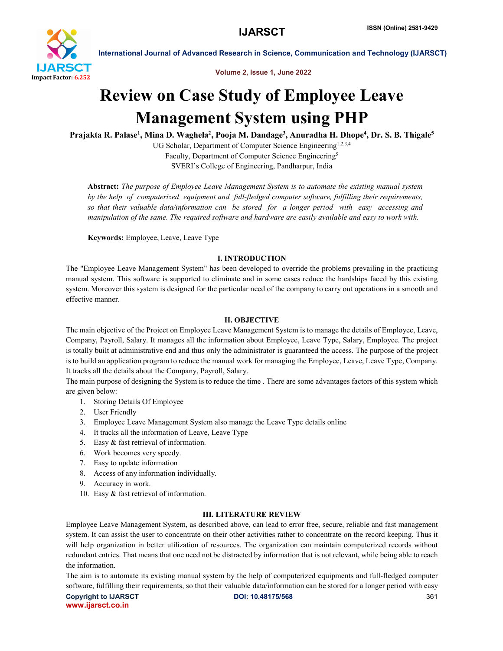

International Journal of Advanced Research in Science, Communication and Technology (IJARSCT)

Volume 2, Issue 1, June 2022

# Review on Case Study of Employee Leave Management System using PHP

Prajakta R. Palase<sup>1</sup>, Mina D. Waghela<sup>2</sup>, Pooja M. Dandage<sup>3</sup>, Anuradha H. Dhope<sup>4</sup>, Dr. S. B. Thigale<sup>5</sup>

UG Scholar, Department of Computer Science Engineering<sup>1,2,3,4</sup> Faculty, Department of Computer Science Engineering5 SVERI's College of Engineering, Pandharpur, India

Abstract: *The purpose of Employee Leave Management System is to automate the existing manual system by the help of computerized equipment and full-fledged computer software, fulfilling their requirements, so that their valuable data/information can be stored for a longer period with easy accessing and manipulation of the same. The required software and hardware are easily available and easy to work with.*

Keywords: Employee, Leave, Leave Type

## I. INTRODUCTION

The "Employee Leave Management System" has been developed to override the problems prevailing in the practicing manual system. This software is supported to eliminate and in some cases reduce the hardships faced by this existing system. Moreover this system is designed for the particular need of the company to carry out operations in a smooth and effective manner.

### II. OBJECTIVE

The main objective of the Project on Employee Leave Management System is to manage the details of Employee, Leave, Company, Payroll, Salary. It manages all the information about Employee, Leave Type, Salary, Employee. The project is totally built at administrative end and thus only the administrator is guaranteed the access. The purpose of the project is to build an application program to reduce the manual work for managing the Employee, Leave, Leave Type, Company. It tracks all the details about the Company, Payroll, Salary.

The main purpose of designing the System is to reduce the time . There are some advantages factors of this system which are given below:

- 1. Storing Details Of Employee
- 2. User Friendly
- 3. Employee Leave Management System also manage the Leave Type details online
- 4. It tracks all the information of Leave, Leave Type
- 5. Easy & fast retrieval of information.
- 6. Work becomes very speedy.
- 7. Easy to update information
- 8. Access of any information individually.
- 9. Accuracy in work.
- 10. Easy & fast retrieval of information.

## III. LITERATURE REVIEW

Employee Leave Management System, as described above, can lead to error free, secure, reliable and fast management system. It can assist the user to concentrate on their other activities rather to concentrate on the record keeping. Thus it will help organization in better utilization of resources. The organization can maintain computerized records without redundant entries. That means that one need not be distracted by information that is not relevant, while being able to reach the information.

The aim is to automate its existing manual system by the help of computerized equipments and full-fledged computer software, fulfilling their requirements, so that their valuable data/information can be stored for a longer period with easy

Copyright to IJARSCT **DOI: 10.48175/568** 361 www.ijarsct.co.in